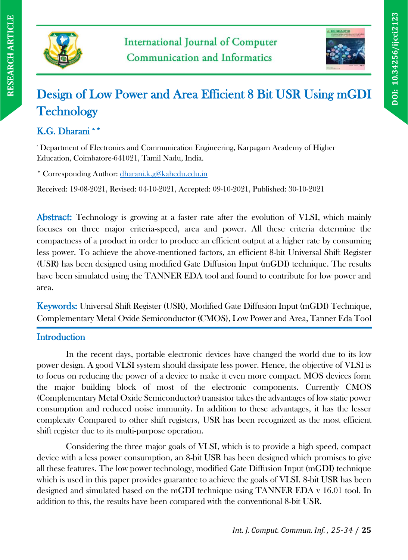



# Design of Low Power and Area Efficient 8 Bit USR Using mGDI **Technology**

# K.G. Dharani\*\*

<sup>a</sup> Department of Electronics and Communication Engineering, Karpagam Academy of Higher Education, Coimbatore-641021, Tamil Nadu, India.

\* Corresponding Author: [dharani.k.g@kahedu.edu.in](mailto:dharani.k.g@kahedu.edu.in)

Received: 19-08-2021, Revised: 04-10-2021, Accepted: 09-10-2021, Published: 30-10-2021

Abstract: Technology is growing at a faster rate after the evolution of VLSI, which mainly focuses on three major criteria-speed, area and power. All these criteria determine the compactness of a product in order to produce an efficient output at a higher rate by consuming less power. To achieve the above-mentioned factors, an efficient 8-bit Universal Shift Register (USR) has been designed using modified Gate Diffusion Input (mGDI) technique. The results have been simulated using the TANNER EDA tool and found to contribute for low power and area.

Keywords: Universal Shift Register (USR), Modified Gate Diffusion Input (mGDI) Technique, Complementary Metal Oxide Semiconductor (CMOS), Low Power and Area, Tanner Eda Tool

## **Introduction**

In the recent days, portable electronic devices have changed the world due to its low power design. A good VLSI system should dissipate less power. Hence, the objective of VLSI is to focus on reducing the power of a device to make it even more compact. MOS devices form the major building block of most of the electronic components. Currently CMOS (Complementary Metal Oxide Semiconductor) transistor takes the advantages of low static power consumption and reduced noise immunity. In addition to these advantages, it has the lesser complexity Compared to other shift registers, USR has been recognized as the most efficient shift register due to its multi-purpose operation.

Considering the three major goals of VLSI, which is to provide a high speed, compact device with a less power consumption, an 8-bit USR has been designed which promises to give all these features. The low power technology, modified Gate Diffusion Input (mGDI) technique which is used in this paper provides guarantee to achieve the goals of VLSI. 8-bit USR has been designed and simulated based on the mGDI technique using TANNER EDA v 16.01 tool. In addition to this, the results have been compared with the conventional 8-bit USR.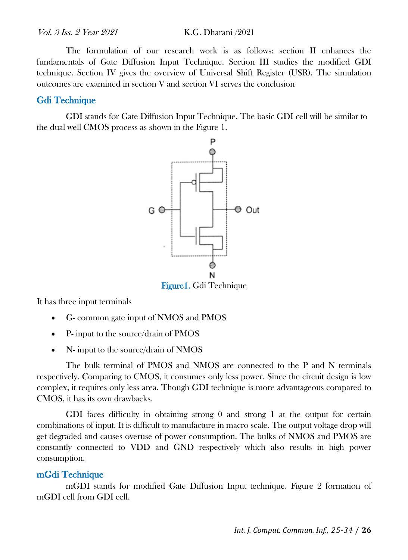The formulation of our research work is as follows: section II enhances the fundamentals of Gate Diffusion Input Technique. Section III studies the modified GDI technique. Section IV gives the overview of Universal Shift Register (USR). The simulation outcomes are examined in section V and section VI serves the conclusion

#### Gdi Technique

GDI stands for Gate Diffusion Input Technique. The basic GDI cell will be similar to the dual well CMOS process as shown in the Figure 1.



Figure1. Gdi Technique

It has three input terminals

- G- common gate input of NMOS and PMOS
- P- input to the source/drain of PMOS
- N- input to the source/drain of NMOS

The bulk terminal of PMOS and NMOS are connected to the P and N terminals respectively. Comparing to CMOS, it consumes only less power. Since the circuit design is low complex, it requires only less area. Though GDI technique is more advantageous compared to CMOS, it has its own drawbacks.

GDI faces difficulty in obtaining strong 0 and strong 1 at the output for certain combinations of input. It is difficult to manufacture in macro scale. The output voltage drop will get degraded and causes overuse of power consumption. The bulks of NMOS and PMOS are constantly connected to VDD and GND respectively which also results in high power consumption.

#### mGdi Technique

mGDI stands for modified Gate Diffusion Input technique. Figure 2 formation of mGDI cell from GDI cell.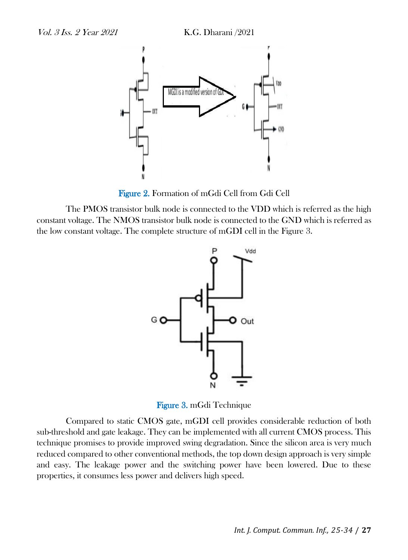

Figure 2. Formation of mGdi Cell from Gdi Cell

The PMOS transistor bulk node is connected to the VDD which is referred as the high constant voltage. The NMOS transistor bulk node is connected to the GND which is referred as the low constant voltage. The complete structure of mGDI cell in the Figure 3.



Figure 3. mGdi Technique

Compared to static CMOS gate, mGDI cell provides considerable reduction of both sub-threshold and gate leakage. They can be implemented with all current CMOS process. This technique promises to provide improved swing degradation. Since the silicon area is very much reduced compared to other conventional methods, the top down design approach is very simple and easy. The leakage power and the switching power have been lowered. Due to these properties, it consumes less power and delivers high speed.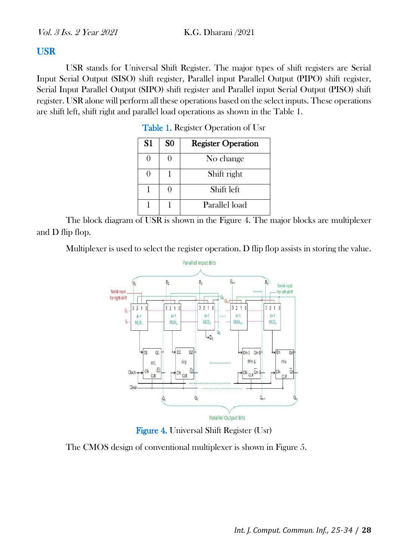#### **USR**

USR stands for Universal Shift Register. The major types of shift registers are Serial Input Serial Output (SISO) shift register, Parallel input Parallel Output (PIPO) shift register, Serial Input Parallel Output (SIPO) shift register and Parallel input Serial Output (PISO) shift register. USR alone will perform all these operations based on the select inputs. These operations are shift left, shift right and parallel load operations as shown in the Table 1.

| S1 | S <sub>0</sub> | <b>Register Operation</b> |
|----|----------------|---------------------------|
|    |                | No change                 |
|    |                | Shift right               |
|    |                | Shift left                |
|    |                | Parallel load             |

Table 1. Register Operation of Usr

The block diagram of USR is shown in the Figure 4. The major blocks are multiplexer and D flip flop.

Multiplexer is used to select the register operation. D flip flop assists in storing the value.



Figure 4. Universal Shift Register (Usr)

The CMOS design of conventional multiplexer is shown in Figure 5.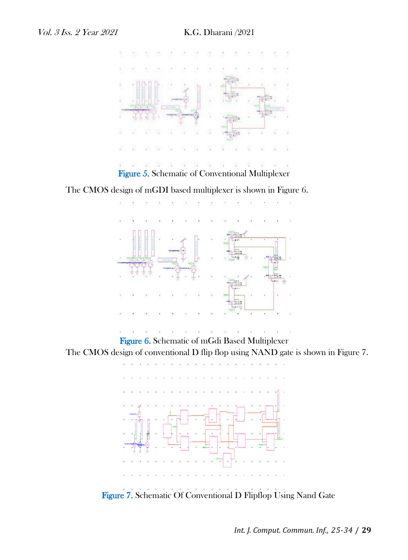

The CMOS design of mGDI based multiplexer is shown in Figure 6.



Figure 6. Schematic of mGdi Based Multiplexer The CMOS design of conventional D flip flop using NAND gate is shown in Figure 7.



Figure 7. Schematic Of Conventional D Flipflop Using Nand Gate

*Int. J. Comput. Commun. Inf., 25-34* / **29**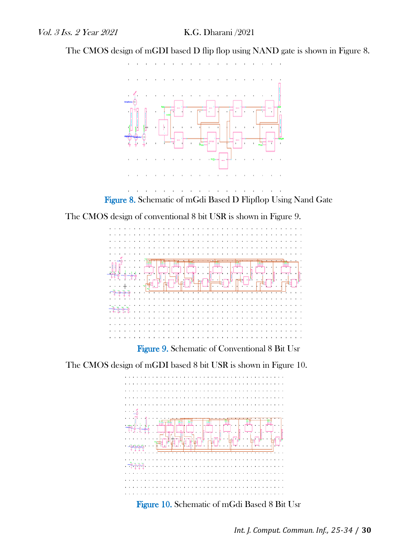The CMOS design of mGDI based D flip flop using NAND gate is shown in Figure 8.





The CMOS design of conventional 8 bit USR is shown in Figure 9.



The CMOS design of mGDI based 8 bit USR is shown in Figure 10.



Figure 10. Schematic of mGdi Based 8 Bit Usr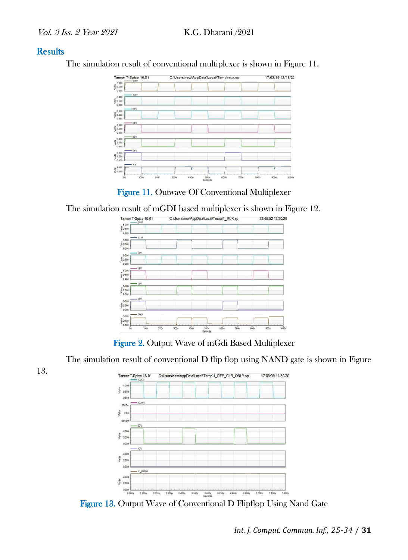#### **Results**

13.

The simulation result of conventional multiplexer is shown in Figure 11.



Figure 11. Outwave Of Conventional Multiplexer

The simulation result of mGDI based multiplexer is shown in Figure 12.



Figure 2. Output Wave of mGdi Based Multiplexer

The simulation result of conventional D flip flop using NAND gate is shown in Figure



Figure 13. Output Wave of Conventional D Flipflop Using Nand Gate

*Int. J. Comput. Commun. Inf., 25-34* / **31**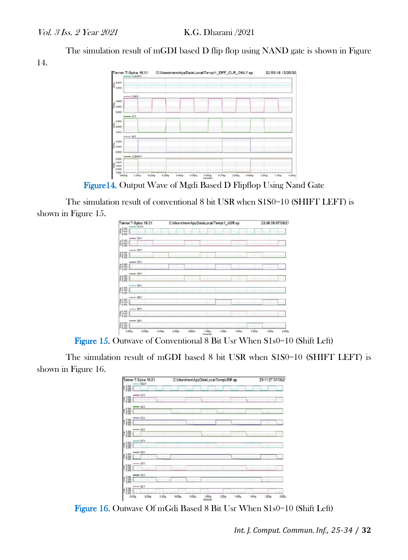The simulation result of mGDI based D flip flop using NAND gate is shown in Figure

14.



Figure14. Output Wave of Mgdi Based D Flipflop Using Nand Gate

The simulation result of conventional 8 bit USR when S1S0=10 (SHIFT LEFT) is shown in Figure 15.

| Tanner T-Spice 16.01<br>CLKV                                        |        | C:\Users\new\AppData\Local\Temp\1_USR.sp |                   |        |        |                    |        | 23:38:35 07/05/21 |  |  |
|---------------------------------------------------------------------|--------|------------------------------------------|-------------------|--------|--------|--------------------|--------|-------------------|--|--|
| #5.000<br>\$2.500<br>>0.000                                         |        |                                          |                   |        |        |                    |        |                   |  |  |
| $-$ 01V<br>$\begin{array}{l} 25.000 \\ 5.2500 \\ 8.000 \end{array}$ |        |                                          |                   |        |        |                    |        |                   |  |  |
| $-02$ <sup>V</sup><br>#5.000<br>\$2.500<br>> 0.000                  |        |                                          |                   |        |        |                    |        |                   |  |  |
| $-03V$<br>E 5.900                                                   |        |                                          |                   |        |        |                    |        |                   |  |  |
| $-04V$<br>#5.000<br>\$2.500<br>> 0.000                              |        |                                          |                   |        |        |                    |        |                   |  |  |
| $-05$ <sup>V</sup><br># 5.000<br>5 2.500<br>> 0.000                 |        |                                          |                   |        |        |                    |        |                   |  |  |
| $-08$ Y<br>in 5.000                                                 |        |                                          |                   |        |        |                    |        |                   |  |  |
| 67V<br># 5.000<br>\$ 2.500<br>> 0.000                               |        |                                          |                   |        |        |                    |        |                   |  |  |
| $- 084$<br># 5.000<br>5 2.500<br>> 0.000                            |        |                                          |                   |        |        | ı                  |        |                   |  |  |
| 0.200<br>$0.400\mu$<br>0.000u                                       | 0.000y | 0.030u                                   | 1.000u<br>Seconds | 1.200u | 1,400g | 1.600 <sub>9</sub> | 1.800u | 2,000             |  |  |

Figure 15. Outwave of Conventional 8 Bit Usr When S1s0=10 (Shift Left)

The simulation result of mGDI based 8 bit USR when S1S0=10 (SHIFT LEFT) is shown in Figure 16.

| Tanner T-Spice 16.01<br><b>CLKV</b> |                    |           | C:\Users\new\AppData\Local\Temp\USR.sp |       |        |        |        |        |                   | 23:11:27 07/05/21 |  |  |
|-------------------------------------|--------------------|-----------|----------------------------------------|-------|--------|--------|--------|--------|-------------------|-------------------|--|--|
| $\frac{5,000}{2,500}$<br><b>M</b>   |                    |           |                                        |       |        |        |        |        |                   |                   |  |  |
| 5.000<br><b>Rio/</b>                | $-$ Q1.Y           |           |                                        |       |        |        |        |        |                   |                   |  |  |
| 5.000<br><b>A</b>                   | $-02V$             |           |                                        |       |        |        |        |        |                   |                   |  |  |
| 5.000                               | $-03V$             |           |                                        |       |        |        |        |        |                   |                   |  |  |
| $\frac{5000}{2500}$<br><b>Si</b>    | Q4V                |           |                                        |       |        |        |        |        |                   |                   |  |  |
| 5.000<br>2.500<br>6.000<br><b>B</b> | Q5V                |           |                                        |       |        |        |        |        |                   |                   |  |  |
| 5.000<br>ŝ                          | $-$ Q6:V           |           |                                        |       |        |        |        |        |                   |                   |  |  |
| $\frac{5000}{2000}$<br>ļ            | <b>67V</b>         |           |                                        |       |        |        |        |        |                   |                   |  |  |
| 5.000<br>2.500<br>6.000<br><b>B</b> | $\rightarrow$ Q8.V |           |                                        |       |        |        |        |        |                   |                   |  |  |
| $\frac{5000}{2000}$<br>ŀ<br>0.000   | $= SLV$<br>0.200u  | $0.40$ ly | 0.600µ                                 | 0.000 | 1.000u | 1.20ly | 1.400u | 1.600g | 1.80 <sub>g</sub> | 2.000             |  |  |

Figure 16. Outwave Of mGdi Based 8 Bit Usr When S1s0=10 (Shift Left)

*Int. J. Comput. Commun. Inf., 25-34* / **32**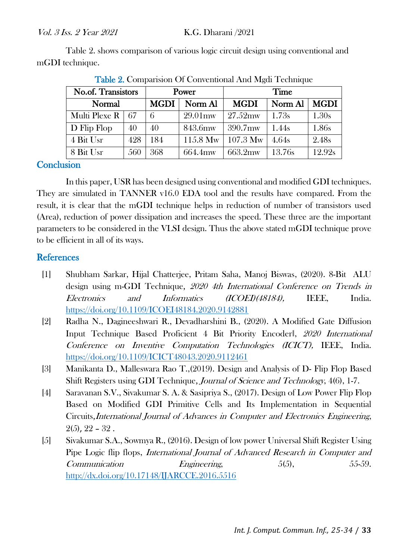Table 2. shows comparison of various logic circuit design using conventional and mGDI technique.

| No.of. Transistors |     |             | Power      | Time               |                   |             |  |
|--------------------|-----|-------------|------------|--------------------|-------------------|-------------|--|
| Normal             |     | <b>MGDI</b> | Norm Al    | <b>MGDI</b>        | Norm Al           | <b>MGDI</b> |  |
| Multi Plexe R      | 67  | 6           | $29.01$ mw | $27.52 \text{mw}$  | 1.7 <sub>3s</sub> | 1.30s       |  |
| D Flip Flop        | 40  | 40          | 843.6mw    | $390.7$ mw         | 1.44s             | 1.86s       |  |
| 4 Bit Usr          | 428 | 184         | $115.8$ Mw | $107.3 \text{ Mw}$ | 4.64s             | 2.48s       |  |
| 8 Bit Usr          | 560 | 368         | 664.4mw    | 663.2mw            | 13.76s            | 12.92s      |  |

Table 2. Comparision Of Conventional And Mgdi Technique

#### **Conclusion**

In this paper, USR has been designed using conventional and modified GDI techniques. They are simulated in TANNER v16.0 EDA tool and the results have compared. From the result, it is clear that the mGDI technique helps in reduction of number of transistors used (Area), reduction of power dissipation and increases the speed. These three are the important parameters to be considered in the VLSI design. Thus the above stated mGDI technique prove to be efficient in all of its ways.

#### **References**

- [1] Shubham Sarkar, Hijal Chatterjee, Pritam Saha, Manoj Biswas, (2020). 8-Bit ALU design using m-GDI Technique, 2020 4th International Conference on Trends in Electronics and Informatics (ICOEI)(48184), IEEE, India. <https://doi.org/10.1109/ICOEI48184.2020.9142881>
- [2] Radha N., Dagineeshwari R., Devadharshini B., (2020). A Modified Gate Diffusion Input Technique Based Proficient 4 Bit Priority Encoder‖, 2020 International Conference on Inventive Computation Technologies (ICICT), IEEE, India. <https://doi.org/10.1109/ICICT48043.2020.9112461>
- [3] Manikanta D., Malleswara Rao T.,(2019). Design and Analysis of D- Flip Flop Based Shift Registers using GDI Technique, Journal of Science and Technology, 4(6), 1-7.
- [4] Saravanan S.V., Sivakumar S. A. & Sasipriya S., (2017). Design of Low Power Flip Flop Based on Modified GDI Primitive Cells and Its Implementation in Sequential Circuits,International Journal of Advances in Computer and Electronics Engineering,  $2(5)$ ,  $22 - 32$ .
- [5] Sivakumar S.A., Sowmya R., (2016). Design of low power Universal Shift Register Using Pipe Logic flip flops, International Journal of Advanced Research in Computer and Communication Engineering, 5(5), 55-59. <http://dx.doi.org/10.17148/IJARCCE.2016.5516>